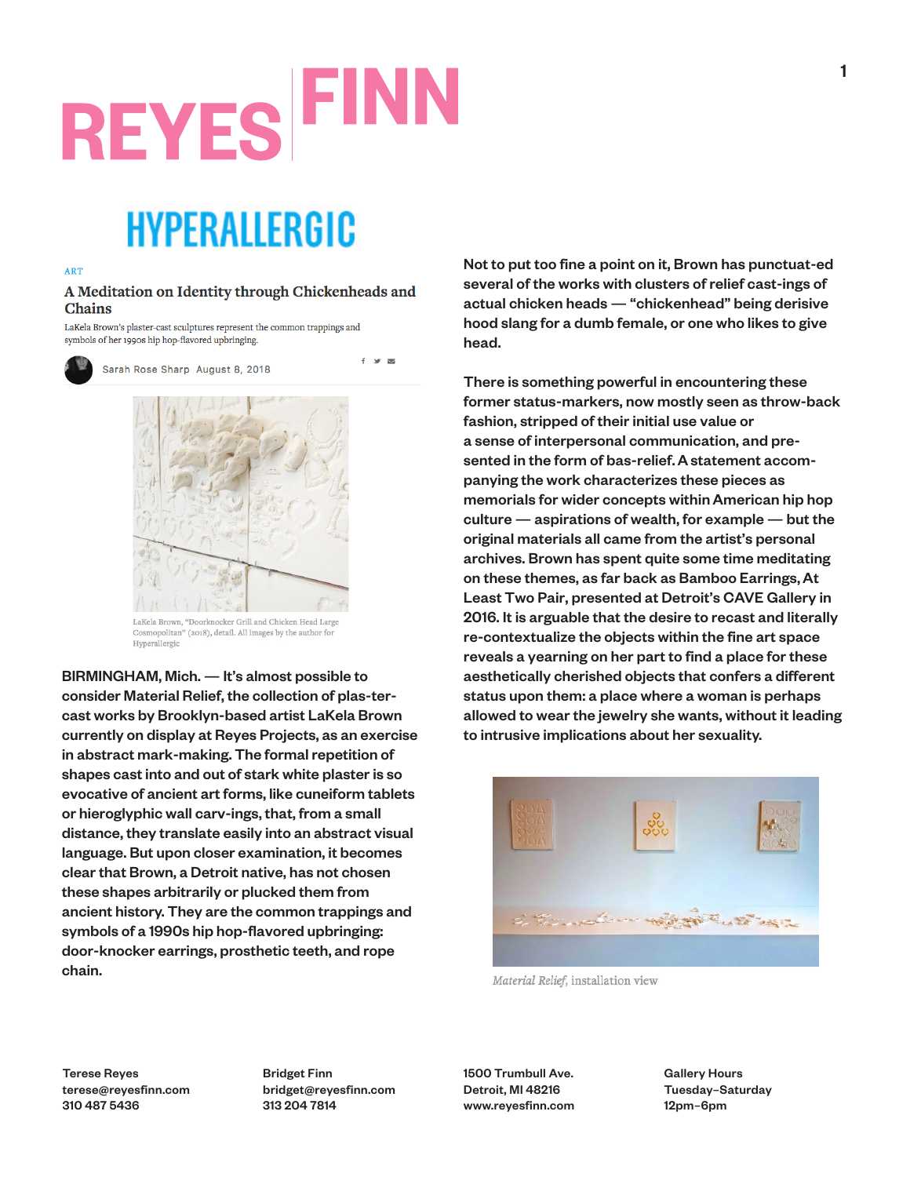# **REYES FIN**

### HYPERALLERGIC

#### **ART**

#### A Meditation on Identity through Chickenheads and **Chains**

 $f = w$ 

LaKela Brown's plaster-cast sculptures represent the common trappings and symbols of her 1990s hip hop-flavored upbringing.



Sarah Rose Sharp August 8, 2018



LaKela Brown, "Doorknocker Grill and Chicken Head Large Cosmopolitan" (2018), detail. All images by the author for Hyperallergic

BIRMINGHAM, Mich. — It's almost possible to consider Material Relief, the collection of plas-tercast works by Brooklyn-based artist LaKela Brown currently on display at Reyes Projects, as an exercise in abstract mark-making. The formal repetition of shapes cast into and out of stark white plaster is so evocative of ancient art forms, like cuneiform tablets or hieroglyphic wall carv-ings, that, from a small distance, they translate easily into an abstract visual language. But upon closer examination, it becomes clear that Brown, a Detroit native, has not chosen these shapes arbitrarily or plucked them from ancient history. They are the common trappings and symbols of a 1990s hip hop-flavored upbringing: door-knocker earrings, prosthetic teeth, and rope chain.

Not to put too fine a point on it, Brown has punctuat-ed several of the works with clusters of relief cast-ings of actual chicken heads — "chickenhead" being derisive hood slang for a dumb female, or one who likes to give head.

There is something powerful in encountering these former status-markers, now mostly seen as throw-back fashion, stripped of their initial use value or a sense of interpersonal communication, and presented in the form of bas-relief. A statement accompanying the work characterizes these pieces as memorials for wider concepts withinAmerican hip hop culture — aspirations of wealth, for example — but the original materials all came from the artist's personal archives. Brown has spent quite some time meditating on these themes, as far back as Bamboo Earrings, At Least Two Pair, presented at Detroit's CAVE Gallery in 2016. It is arguable that the desire to recast and literally re-contextualize the objects within the fine art space reveals a yearning on her part to find a place for these aesthetically cherished objects that confers a different status upon them: a place where a woman is perhaps allowed to wear the jewelry she wants, without it leading to intrusive implications about her sexuality.



Material Relief, installation view

Terese Reyes terese@reyesfinn.com 310 487 5436

Bridget Finn bridget@reyesfinn.com 313 204 7814

1500 Trumbull Ave. Detroit, MI 48216 www.reyesfinn.com Gallery Hours Tuesday–Saturday 12pm–6pm